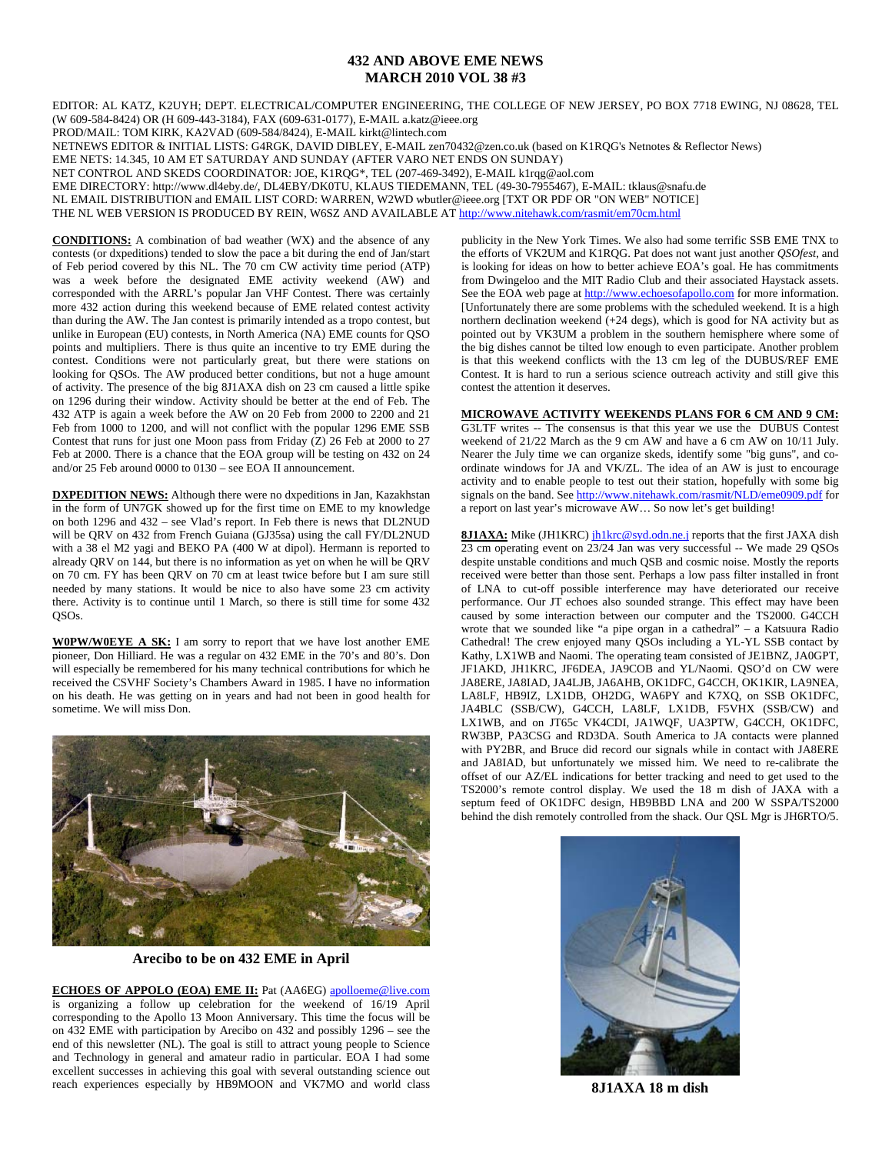## **432 AND ABOVE EME NEWS MARCH 2010 VOL 38 #3**

EDITOR: AL KATZ, K2UYH; DEPT. ELECTRICAL/COMPUTER ENGINEERING, THE COLLEGE OF NEW JERSEY, PO BOX 7718 EWING, NJ 08628, TEL (W 609-584-8424) OR (H 609-443-3184), FAX (609-631-0177), E-MAIL a.katz@ieee.org

PROD/MAIL: TOM KIRK, KA2VAD (609-584/8424), E-MAIL kirkt@lintech.com

NETNEWS EDITOR & INITIAL LISTS: G4RGK, DAVID DIBLEY, E-MAIL zen70432@zen.co.uk (based on K1RQG's Netnotes & Reflector News)

EME NETS: 14.345, 10 AM ET SATURDAY AND SUNDAY (AFTER VARO NET ENDS ON SUNDAY)

NET CONTROL AND SKEDS COORDINATOR: JOE, K1RQG\*, TEL (207-469-3492), E-MAIL k1rqg@aol.com

EME DIRECTORY: http://www.dl4eby.de/, DL4EBY/DK0TU, KLAUS TIEDEMANN, TEL (49-30-7955467), E-MAIL: tklaus@snafu.de

NL EMAIL DISTRIBUTION and EMAIL LIST CORD: WARREN, W2WD wbutler@ieee.org [TXT OR PDF OR "ON WEB" NOTICE]

THE NL WEB VERSION IS PRODUCED BY REIN, W6SZ AND AVAILABLE AT http://www.nitehawk.com/rasmit/em70cm.html

**CONDITIONS:** A combination of bad weather (WX) and the absence of any contests (or dxpeditions) tended to slow the pace a bit during the end of Jan/start of Feb period covered by this NL. The 70 cm CW activity time period (ATP) was a week before the designated EME activity weekend (AW) and corresponded with the ARRL's popular Jan VHF Contest. There was certainly more 432 action during this weekend because of EME related contest activity than during the AW. The Jan contest is primarily intended as a tropo contest, but unlike in European (EU) contests, in North America (NA) EME counts for QSO points and multipliers. There is thus quite an incentive to try EME during the contest. Conditions were not particularly great, but there were stations on looking for QSOs. The AW produced better conditions, but not a huge amount of activity. The presence of the big 8J1AXA dish on 23 cm caused a little spike on 1296 during their window. Activity should be better at the end of Feb. The 432 ATP is again a week before the AW on 20 Feb from 2000 to 2200 and 21 Feb from 1000 to 1200, and will not conflict with the popular 1296 EME SSB Contest that runs for just one Moon pass from Friday (Z) 26 Feb at 2000 to 27 Feb at 2000. There is a chance that the EOA group will be testing on 432 on 24 and/or 25 Feb around 0000 to 0130 – see EOA II announcement.

**DXPEDITION NEWS:** Although there were no dxpeditions in Jan, Kazakhstan in the form of UN7GK showed up for the first time on EME to my knowledge on both 1296 and 432 – see Vlad's report. In Feb there is news that DL2NUD will be QRV on 432 from French Guiana (GJ35sa) using the call FY/DL2NUD with a 38 el M2 yagi and BEKO PA (400 W at dipol). Hermann is reported to already QRV on 144, but there is no information as yet on when he will be QRV on 70 cm. FY has been QRV on 70 cm at least twice before but I am sure still needed by many stations. It would be nice to also have some 23 cm activity there. Activity is to continue until 1 March, so there is still time for some 432 QSOs.

**W0PW/W0EYE A SK:** I am sorry to report that we have lost another EME pioneer, Don Hilliard. He was a regular on 432 EME in the 70's and 80's. Don will especially be remembered for his many technical contributions for which he received the CSVHF Society's Chambers Award in 1985. I have no information on his death. He was getting on in years and had not been in good health for sometime. We will miss Don.



**Arecibo to be on 432 EME in April** 

**ECHOES OF APPOLO (EOA) EME II:** Pat (AA6EG) apolloeme@live.com is organizing a follow up celebration for the weekend of 16/19 April corresponding to the Apollo 13 Moon Anniversary. This time the focus will be on 432 EME with participation by Arecibo on 432 and possibly 1296 – see the end of this newsletter (NL). The goal is still to attract young people to Science and Technology in general and amateur radio in particular. EOA I had some excellent successes in achieving this goal with several outstanding science out reach experiences especially by HB9MOON and VK7MO and world class

publicity in the New York Times. We also had some terrific SSB EME TNX to the efforts of VK2UM and K1RQG. Pat does not want just another *QSOfest*, and is looking for ideas on how to better achieve EOA's goal. He has commitments from Dwingeloo and the MIT Radio Club and their associated Haystack assets. See the EOA web page at http://www.echoesofapollo.com for more information. [Unfortunately there are some problems with the scheduled weekend. It is a high northern declination weekend  $(+24$  degs), which is good for NA activity but as pointed out by VK3UM a problem in the southern hemisphere where some of the big dishes cannot be tilted low enough to even participate. Another problem is that this weekend conflicts with the 13 cm leg of the DUBUS/REF EME Contest. It is hard to run a serious science outreach activity and still give this contest the attention it deserves.

## **MICROWAVE ACTIVITY WEEKENDS PLANS FOR 6 CM AND 9 CM:**

G3LTF writes -- The consensus is that this year we use the DUBUS Contest weekend of 21/22 March as the 9 cm AW and have a 6 cm AW on 10/11 July. Nearer the July time we can organize skeds, identify some "big guns", and coordinate windows for JA and VK/ZL. The idea of an AW is just to encourage activity and to enable people to test out their station, hopefully with some big signals on the band. See http://www.nitehawk.com/rasmit/NLD/eme0909.pdf for a report on last year's microwave AW… So now let's get building!

**8J1AXA:** Mike (JH1KRC) jh1krc@syd.odn.ne.j reports that the first JAXA dish 23 cm operating event on 23/24 Jan was very successful -- We made 29 QSOs despite unstable conditions and much QSB and cosmic noise. Mostly the reports received were better than those sent. Perhaps a low pass filter installed in front of LNA to cut-off possible interference may have deteriorated our receive performance. Our JT echoes also sounded strange. This effect may have been caused by some interaction between our computer and the TS2000. G4CCH wrote that we sounded like "a pipe organ in a cathedral" – a Katsuura Radio Cathedral! The crew enjoyed many QSOs including a YL-YL SSB contact by Kathy, LX1WB and Naomi. The operating team consisted of JE1BNZ, JA0GPT, JF1AKD, JH1KRC, JF6DEA, JA9COB and YL/Naomi. QSO'd on CW were JA8ERE, JA8IAD, JA4LJB, JA6AHB, OK1DFC, G4CCH, OK1KIR, LA9NEA, LA8LF, HB9IZ, LX1DB, OH2DG, WA6PY and K7XQ, on SSB OK1DFC, JA4BLC (SSB/CW), G4CCH, LA8LF, LX1DB, F5VHX (SSB/CW) and LX1WB, and on JT65c VK4CDI, JA1WQF, UA3PTW, G4CCH, OK1DFC, RW3BP, PA3CSG and RD3DA. South America to JA contacts were planned with PY2BR, and Bruce did record our signals while in contact with JA8ERE and JA8IAD, but unfortunately we missed him. We need to re-calibrate the offset of our AZ/EL indications for better tracking and need to get used to the TS2000's remote control display. We used the 18 m dish of JAXA with a septum feed of OK1DFC design, HB9BBD LNA and 200 W SSPA/TS2000 behind the dish remotely controlled from the shack. Our QSL Mgr is JH6RTO/5.



**8J1AXA 18 m dish**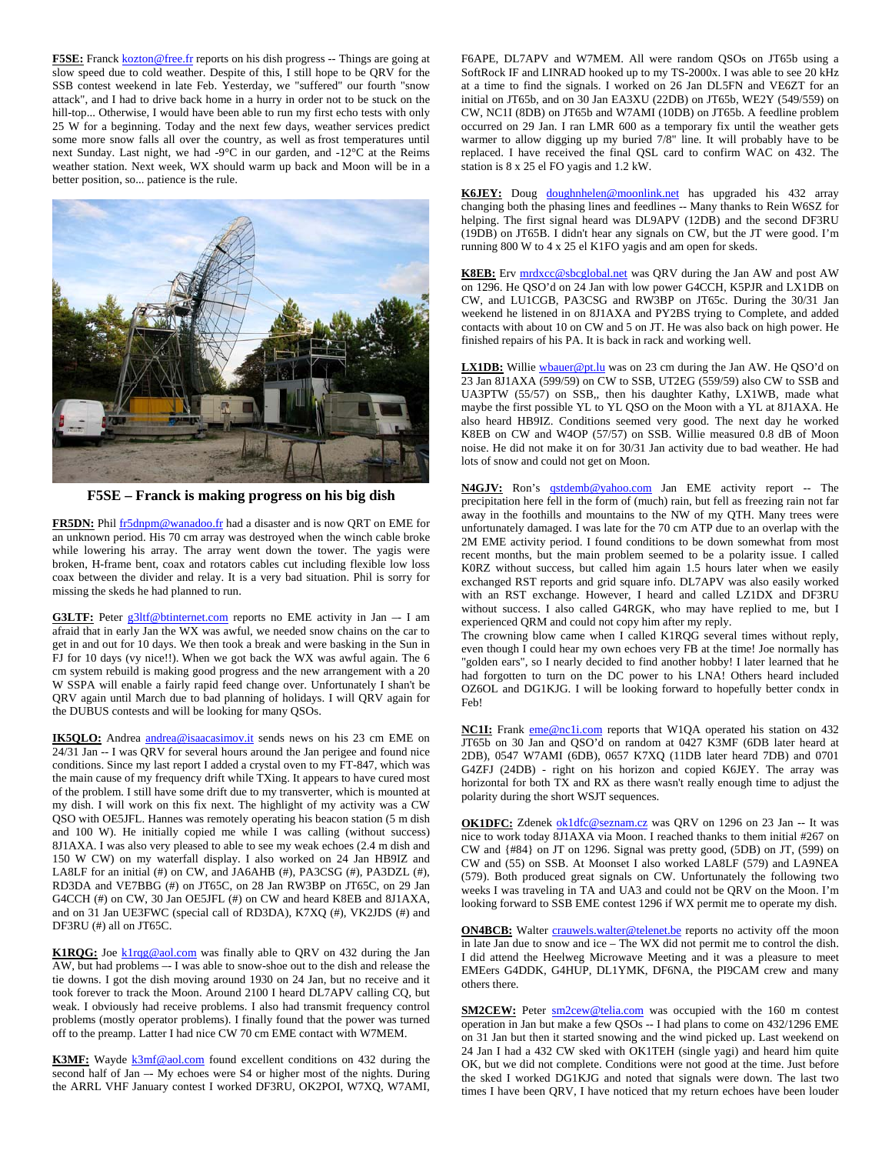F5SE: Franck kozton@free.fr reports on his dish progress -- Things are going at slow speed due to cold weather. Despite of this, I still hope to be QRV for the SSB contest weekend in late Feb. Yesterday, we "suffered" our fourth "snow attack", and I had to drive back home in a hurry in order not to be stuck on the hill-top... Otherwise, I would have been able to run my first echo tests with only 25 W for a beginning. Today and the next few days, weather services predict some more snow falls all over the country, as well as frost temperatures until next Sunday. Last night, we had -9°C in our garden, and -12°C at the Reims weather station. Next week, WX should warm up back and Moon will be in a better position, so... patience is the rule.



**F5SE – Franck is making progress on his big dish** 

**FR5DN:** Phil fr5dnpm@wanadoo.fr had a disaster and is now QRT on EME for an unknown period. His 70 cm array was destroyed when the winch cable broke while lowering his array. The array went down the tower. The yagis were broken, H-frame bent, coax and rotators cables cut including flexible low loss coax between the divider and relay. It is a very bad situation. Phil is sorry for missing the skeds he had planned to run.

G3LTF: Peter g3ltf@btinternet.com reports no EME activity in Jan -- I am afraid that in early Jan the WX was awful, we needed snow chains on the car to get in and out for 10 days. We then took a break and were basking in the Sun in FJ for 10 days (vy nice!!). When we got back the WX was awful again. The 6 cm system rebuild is making good progress and the new arrangement with a 20 W SSPA will enable a fairly rapid feed change over. Unfortunately I shan't be QRV again until March due to bad planning of holidays. I will QRV again for the DUBUS contests and will be looking for many QSOs.

**IK5QLO:** Andrea andrea@isaacasimov.it sends news on his 23 cm EME on 24/31 Jan -- I was QRV for several hours around the Jan perigee and found nice conditions. Since my last report I added a crystal oven to my FT-847, which was the main cause of my frequency drift while TXing. It appears to have cured most of the problem. I still have some drift due to my transverter, which is mounted at my dish. I will work on this fix next. The highlight of my activity was a CW QSO with OE5JFL. Hannes was remotely operating his beacon station (5 m dish and 100 W). He initially copied me while I was calling (without success) 8J1AXA. I was also very pleased to able to see my weak echoes (2.4 m dish and 150 W CW) on my waterfall display. I also worked on 24 Jan HB9IZ and LA8LF for an initial (#) on CW, and JA6AHB (#), PA3CSG (#), PA3DZL (#), RD3DA and VE7BBG (#) on JT65C, on 28 Jan RW3BP on JT65C, on 29 Jan G4CCH (#) on CW, 30 Jan OE5JFL (#) on CW and heard K8EB and 8J1AXA, and on 31 Jan UE3FWC (special call of RD3DA), K7XQ (#), VK2JDS (#) and DF3RU (#) all on JT65C.

**K1RQG:** Joe k1rqg@aol.com was finally able to QRV on 432 during the Jan AW, but had problems –- I was able to snow-shoe out to the dish and release the tie downs. I got the dish moving around 1930 on 24 Jan, but no receive and it took forever to track the Moon. Around 2100 I heard DL7APV calling CQ, but weak. I obviously had receive problems. I also had transmit frequency control problems (mostly operator problems). I finally found that the power was turned off to the preamp. Latter I had nice CW 70 cm EME contact with W7MEM.

K3MF: Wayde **k3mf@aol.com** found excellent conditions on 432 during the second half of Jan –- My echoes were S4 or higher most of the nights. During the ARRL VHF January contest I worked DF3RU, OK2POI, W7XQ, W7AMI, F6APE, DL7APV and W7MEM. All were random QSOs on JT65b using a SoftRock IF and LINRAD hooked up to my TS-2000x. I was able to see 20 kHz at a time to find the signals. I worked on 26 Jan DL5FN and VE6ZT for an initial on JT65b, and on 30 Jan EA3XU (22DB) on JT65b, WE2Y (549/559) on CW, NC1I (8DB) on JT65b and W7AMI (10DB) on JT65b. A feedline problem occurred on 29 Jan. I ran LMR 600 as a temporary fix until the weather gets warmer to allow digging up my buried 7/8" line. It will probably have to be replaced. I have received the final QSL card to confirm WAC on 432. The station is 8 x 25 el FO yagis and 1.2 kW.

**K6JEY:** Doug doughnhelen@moonlink.net has upgraded his 432 array changing both the phasing lines and feedlines -- Many thanks to Rein W6SZ for helping. The first signal heard was DL9APV (12DB) and the second DF3RU (19DB) on JT65B. I didn't hear any signals on CW, but the JT were good. I'm running 800 W to 4 x 25 el K1FO yagis and am open for skeds.

**K8EB:** Erv mrdxcc@sbcglobal.net was QRV during the Jan AW and post AW on 1296. He QSO'd on 24 Jan with low power G4CCH, K5PJR and LX1DB on CW, and LU1CGB, PA3CSG and RW3BP on JT65c. During the 30/31 Jan weekend he listened in on 8J1AXA and PY2BS trying to Complete, and added contacts with about 10 on CW and 5 on JT. He was also back on high power. He finished repairs of his PA. It is back in rack and working well.

**LX1DB:** Willie wbauer@pt.lu was on 23 cm during the Jan AW. He QSO'd on 23 Jan 8J1AXA (599/59) on CW to SSB, UT2EG (559/59) also CW to SSB and UA3PTW (55/57) on SSB,, then his daughter Kathy, LX1WB, made what maybe the first possible YL to YL QSO on the Moon with a YL at 8J1AXA. He also heard HB9IZ. Conditions seemed very good. The next day he worked K8EB on CW and W4OP (57/57) on SSB. Willie measured 0.8 dB of Moon noise. He did not make it on for 30/31 Jan activity due to bad weather. He had lots of snow and could not get on Moon.

**N4GJV:** Ron's qstdemb@yahoo.com Jan EME activity report -- The precipitation here fell in the form of (much) rain, but fell as freezing rain not far away in the foothills and mountains to the NW of my QTH. Many trees were unfortunately damaged. I was late for the 70 cm ATP due to an overlap with the 2M EME activity period. I found conditions to be down somewhat from most recent months, but the main problem seemed to be a polarity issue. I called K0RZ without success, but called him again 1.5 hours later when we easily exchanged RST reports and grid square info. DL7APV was also easily worked with an RST exchange. However, I heard and called LZ1DX and DF3RU without success. I also called G4RGK, who may have replied to me, but I experienced QRM and could not copy him after my reply.

The crowning blow came when I called K1RQG several times without reply, even though I could hear my own echoes very FB at the time! Joe normally has "golden ears", so I nearly decided to find another hobby! I later learned that he had forgotten to turn on the DC power to his LNA! Others heard included OZ6OL and DG1KJG. I will be looking forward to hopefully better condx in Feb!

**NC1I:** Frank **eme@nc1i.com** reports that W1QA operated his station on 432 JT65b on 30 Jan and QSO'd on random at 0427 K3MF (6DB later heard at 2DB), 0547 W7AMI (6DB), 0657 K7XQ (11DB later heard 7DB) and 0701 G4ZFJ (24DB) - right on his horizon and copied K6JEY. The array was horizontal for both TX and RX as there wasn't really enough time to adjust the polarity during the short WSJT sequences.

**OK1DFC:** Zdenek ok1dfc@seznam.cz was QRV on 1296 on 23 Jan -- It was nice to work today 8J1AXA via Moon. I reached thanks to them initial #267 on CW and {#84} on JT on 1296. Signal was pretty good, (5DB) on JT, (599) on CW and (55) on SSB. At Moonset I also worked LA8LF (579) and LA9NEA (579). Both produced great signals on CW. Unfortunately the following two weeks I was traveling in TA and UA3 and could not be QRV on the Moon. I'm looking forward to SSB EME contest 1296 if WX permit me to operate my dish.

**ON4BCB:** Walter crauwels.walter@telenet.be reports no activity off the moon in late Jan due to snow and ice – The WX did not permit me to control the dish. I did attend the Heelweg Microwave Meeting and it was a pleasure to meet EMEers G4DDK, G4HUP, DL1YMK, DF6NA, the PI9CAM crew and many others there.

**SM2CEW:** Peter  $\frac{\text{sm2cew@telia.com}}{\text{cm2cew@telia.com}}$  was occupied with the 160 m contest operation in Jan but make a few QSOs -- I had plans to come on 432/1296 EME on 31 Jan but then it started snowing and the wind picked up. Last weekend on 24 Jan I had a 432 CW sked with OK1TEH (single yagi) and heard him quite OK, but we did not complete. Conditions were not good at the time. Just before the sked I worked DG1KJG and noted that signals were down. The last two times I have been QRV, I have noticed that my return echoes have been louder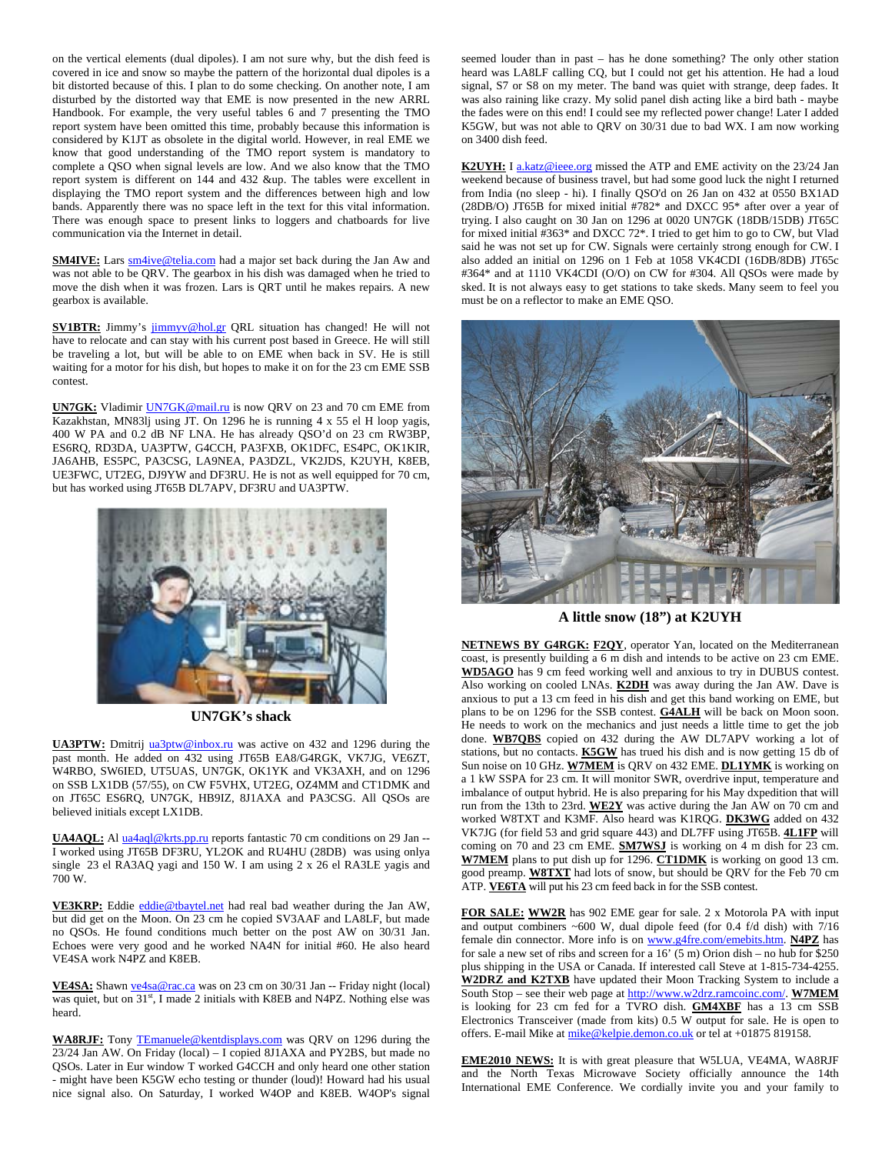on the vertical elements (dual dipoles). I am not sure why, but the dish feed is covered in ice and snow so maybe the pattern of the horizontal dual dipoles is a bit distorted because of this. I plan to do some checking. On another note, I am disturbed by the distorted way that EME is now presented in the new ARRL Handbook. For example, the very useful tables 6 and 7 presenting the TMO report system have been omitted this time, probably because this information is considered by K1JT as obsolete in the digital world. However, in real EME we know that good understanding of the TMO report system is mandatory to complete a QSO when signal levels are low. And we also know that the TMO report system is different on 144 and 432 &up. The tables were excellent in displaying the TMO report system and the differences between high and low bands. Apparently there was no space left in the text for this vital information. There was enough space to present links to loggers and chatboards for live communication via the Internet in detail.

**SM4IVE:** Lars sm4ive@telia.com had a major set back during the Jan Aw and was not able to be QRV. The gearbox in his dish was damaged when he tried to move the dish when it was frozen. Lars is QRT until he makes repairs. A new gearbox is available.

**SV1BTR:** Jimmy's jimmyv@hol.gr QRL situation has changed! He will not have to relocate and can stay with his current post based in Greece. He will still be traveling a lot, but will be able to on EME when back in SV. He is still waiting for a motor for his dish, but hopes to make it on for the 23 cm EME SSB contest.

**UN7GK:** Vladimir UN7GK@mail.ru is now QRV on 23 and 70 cm EME from Kazakhstan, MN83lj using JT. On 1296 he is running 4 x 55 el H loop yagis, 400 W PA and 0.2 dB NF LNA. He has already QSO'd on 23 cm RW3BP, ES6RQ, RD3DA, UA3PTW, G4CCH, PA3FXB, OK1DFC, ES4PC, OK1KIR, JA6AHB, ES5PC, PA3CSG, LA9NEA, PA3DZL, VK2JDS, K2UYH, K8EB, UE3FWC, UT2EG, DJ9YW and DF3RU. He is not as well equipped for 70 cm, but has worked using JT65B DL7APV, DF3RU and UA3PTW.



**UN7GK's shack** 

**UA3PTW:** Dmitrij ua3ptw@inbox.ru was active on 432 and 1296 during the past month. He added on 432 using JT65B EA8/G4RGK, VK7JG, VE6ZT, W4RBO, SW6IED, UT5UAS, UN7GK, OK1YK and VK3AXH, and on 1296 on SSB LX1DB (57/55), on CW F5VHX, UT2EG, OZ4MM and CT1DMK and on JT65C ES6RQ, UN7GK, HB9IZ, 8J1AXA and PA3CSG. All QSOs are believed initials except LX1DB.

**UA4AQL:** Al ua4aql@krts.pp.ru reports fantastic 70 cm conditions on 29 Jan -- I worked using JT65B DF3RU, YL2OK and RU4HU (28DB) was using onlya single 23 el RA3AQ yagi and 150 W. I am using 2 x 26 el RA3LE yagis and 700 W.

**VE3KRP:** Eddie eddie@tbaytel.net had real bad weather during the Jan AW, but did get on the Moon. On 23 cm he copied SV3AAF and LA8LF, but made no QSOs. He found conditions much better on the post AW on 30/31 Jan. Echoes were very good and he worked NA4N for initial #60. He also heard VE4SA work N4PZ and K8EB.

VE4SA: Shawn ve4sa@rac.ca was on 23 cm on 30/31 Jan -- Friday night (local) was quiet, but on  $31<sup>st</sup>$ , I made 2 initials with K8EB and N4PZ. Nothing else was heard.

**WA8RJF:** Tony TEmanuele@kentdisplays.com was QRV on 1296 during the 23/24 Jan AW. On Friday (local) – I copied 8J1AXA and PY2BS, but made no QSOs. Later in Eur window T worked G4CCH and only heard one other station - might have been K5GW echo testing or thunder (loud)! Howard had his usual nice signal also. On Saturday, I worked W4OP and K8EB. W4OP's signal

seemed louder than in past – has he done something? The only other station heard was LA8LF calling CQ, but I could not get his attention. He had a loud signal, S7 or S8 on my meter. The band was quiet with strange, deep fades. It was also raining like crazy. My solid panel dish acting like a bird bath - maybe the fades were on this end! I could see my reflected power change! Later I added K5GW, but was not able to QRV on 30/31 due to bad WX. I am now working on 3400 dish feed.

**K2UYH:** I a.katz@ieee.org missed the ATP and EME activity on the 23/24 Jan weekend because of business travel, but had some good luck the night I returned from India (no sleep - hi). I finally QSO'd on 26 Jan on 432 at 0550 BX1AD (28DB/O) JT65B for mixed initial #782\* and DXCC 95\* after over a year of trying. I also caught on 30 Jan on 1296 at 0020 UN7GK (18DB/15DB) JT65C for mixed initial #363\* and DXCC 72\*. I tried to get him to go to CW, but Vlad said he was not set up for CW. Signals were certainly strong enough for CW. I also added an initial on 1296 on 1 Feb at 1058 VK4CDI (16DB/8DB) JT65c #364\* and at 1110 VK4CDI (O/O) on CW for #304. All QSOs were made by sked. It is not always easy to get stations to take skeds. Many seem to feel you must be on a reflector to make an EME QSO.



**A little snow (18") at K2UYH** 

**NETNEWS BY G4RGK: F2QY**, operator Yan, located on the Mediterranean coast, is presently building a 6 m dish and intends to be active on 23 cm EME. **WD5AGO** has 9 cm feed working well and anxious to try in DUBUS contest. Also working on cooled LNAs. **K2DH** was away during the Jan AW. Dave is anxious to put a 13 cm feed in his dish and get this band working on EME, but plans to be on 1296 for the SSB contest. **G4ALH** will be back on Moon soon. He needs to work on the mechanics and just needs a little time to get the job done. **WB7QBS** copied on 432 during the AW DL7APV working a lot of stations, but no contacts. **K5GW** has trued his dish and is now getting 15 db of Sun noise on 10 GHz. **W7MEM** is QRV on 432 EME. **DL1YMK** is working on a 1 kW SSPA for 23 cm. It will monitor SWR, overdrive input, temperature and imbalance of output hybrid. He is also preparing for his May dxpedition that will run from the 13th to 23rd. **WE2Y** was active during the Jan AW on 70 cm and worked W8TXT and K3MF. Also heard was K1RQG. **DK3WG** added on 432 VK7JG (for field 53 and grid square 443) and DL7FF using JT65B. **4L1FP** will coming on 70 and 23 cm EME. **SM7WSJ** is working on 4 m dish for 23 cm. **W7MEM** plans to put dish up for 1296. **CT1DMK** is working on good 13 cm. good preamp. **W8TXT** had lots of snow, but should be QRV for the Feb 70 cm ATP. **VE6TA** will put his 23 cm feed back in for the SSB contest.

**FOR SALE: WW2R** has 902 EME gear for sale. 2 x Motorola PA with input and output combiners ~600 W, dual dipole feed (for 0.4 f/d dish) with 7/16 female din connector. More info is on www.g4fre.com/emebits.htm. **N4PZ** has for sale a new set of ribs and screen for a 16' (5 m) Orion dish – no hub for  $$250$ plus shipping in the USA or Canada. If interested call Steve at 1-815-734-4255. **W2DRZ and K2TXB** have updated their Moon Tracking System to include a South Stop – see their web page at http://www.w2drz.ramcoinc.com/. **W7MEM** is looking for 23 cm fed for a TVRO dish. **GM4XBF** has a 13 cm SSB Electronics Transceiver (made from kits) 0.5 W output for sale. He is open to offers. E-mail Mike at mike@kelpie.demon.co.uk or tel at +01875 819158.

**EME2010 NEWS:** It is with great pleasure that W5LUA, VE4MA, WA8RJF and the North Texas Microwave Society officially announce the 14th International EME Conference. We cordially invite you and your family to